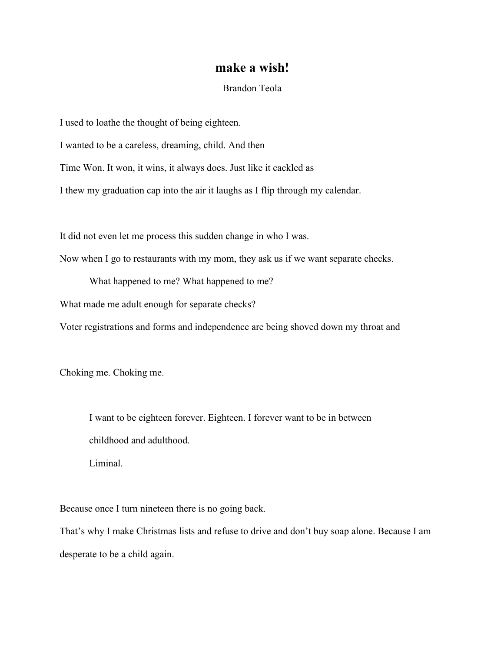## **make a wish!**

## Brandon Teola

I used to loathe the thought of being eighteen.

I wanted to be a careless, dreaming, child. And then

Time Won. It won, it wins, it always does. Just like it cackled as

I thew my graduation cap into the air it laughs as I flip through my calendar.

It did not even let me process this sudden change in who I was.

Now when I go to restaurants with my mom, they ask us if we want separate checks.

What happened to me? What happened to me?

What made me adult enough for separate checks?

Voter registrations and forms and independence are being shoved down my throat and

Choking me. Choking me.

I want to be eighteen forever. Eighteen. I forever want to be in between childhood and adulthood.

Liminal.

Because once I turn nineteen there is no going back.

That's why I make Christmas lists and refuse to drive and don't buy soap alone. Because I am desperate to be a child again.